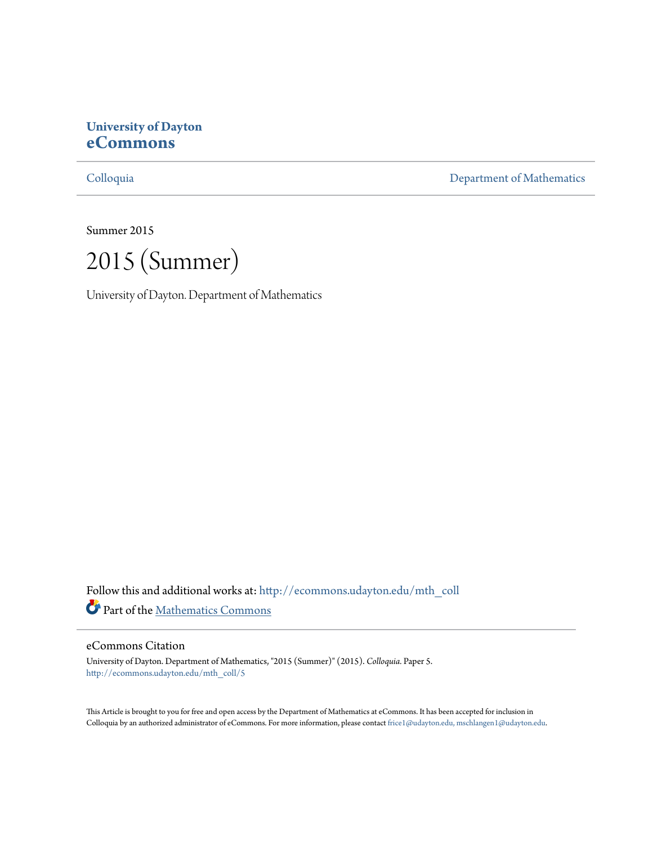## **University of Dayton [eCommons](http://ecommons.udayton.edu?utm_source=ecommons.udayton.edu%2Fmth_coll%2F5&utm_medium=PDF&utm_campaign=PDFCoverPages)**

[Colloquia](http://ecommons.udayton.edu/mth_coll?utm_source=ecommons.udayton.edu%2Fmth_coll%2F5&utm_medium=PDF&utm_campaign=PDFCoverPages) [Department of Mathematics](http://ecommons.udayton.edu/mth?utm_source=ecommons.udayton.edu%2Fmth_coll%2F5&utm_medium=PDF&utm_campaign=PDFCoverPages)

Summer 2015

2015 (Summer)

University of Dayton. Department of Mathematics

Follow this and additional works at: [http://ecommons.udayton.edu/mth\\_coll](http://ecommons.udayton.edu/mth_coll?utm_source=ecommons.udayton.edu%2Fmth_coll%2F5&utm_medium=PDF&utm_campaign=PDFCoverPages) Part of the [Mathematics Commons](http://network.bepress.com/hgg/discipline/174?utm_source=ecommons.udayton.edu%2Fmth_coll%2F5&utm_medium=PDF&utm_campaign=PDFCoverPages)

#### eCommons Citation

University of Dayton. Department of Mathematics, "2015 (Summer)" (2015). *Colloquia.* Paper 5. [http://ecommons.udayton.edu/mth\\_coll/5](http://ecommons.udayton.edu/mth_coll/5?utm_source=ecommons.udayton.edu%2Fmth_coll%2F5&utm_medium=PDF&utm_campaign=PDFCoverPages)

This Article is brought to you for free and open access by the Department of Mathematics at eCommons. It has been accepted for inclusion in Colloquia by an authorized administrator of eCommons. For more information, please contact [frice1@udayton.edu, mschlangen1@udayton.edu.](mailto:frice1@udayton.edu,%20mschlangen1@udayton.edu)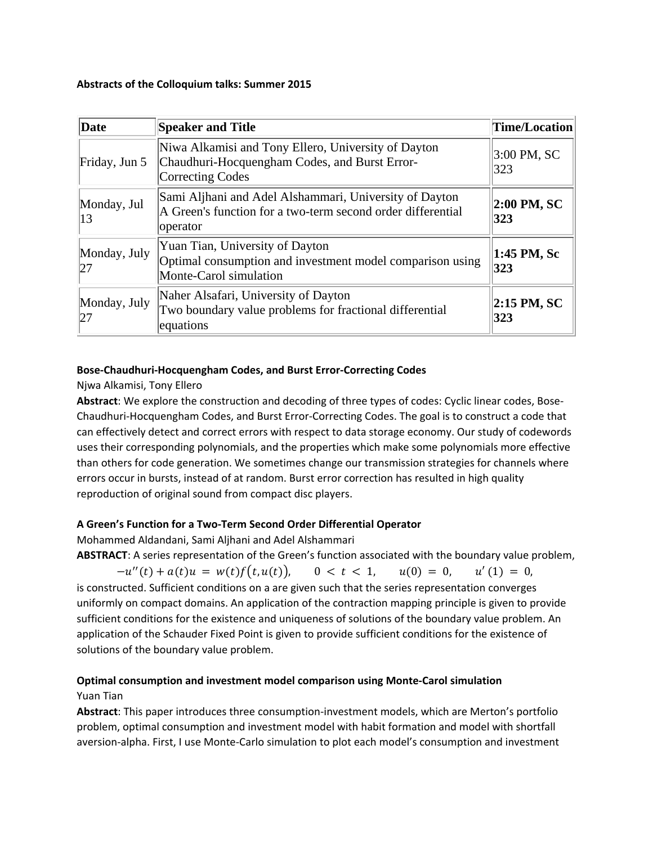#### **Abstracts of the Colloquium talks: Summer 2015**

| Date                | <b>Speaker and Title</b>                                                                                                          | Time/Location         |
|---------------------|-----------------------------------------------------------------------------------------------------------------------------------|-----------------------|
| Friday, Jun 5       | Niwa Alkamisi and Tony Ellero, University of Dayton<br>Chaudhuri-Hocquengham Codes, and Burst Error-<br>Correcting Codes          | 3:00 PM, SC<br>323    |
| Monday, Jul<br>13   | Sami Aljhani and Adel Alshammari, University of Dayton<br>A Green's function for a two-term second order differential<br>operator | 2:00 PM, SC<br>323    |
| Monday, July<br> 27 | Yuan Tian, University of Dayton<br>Optimal consumption and investment model comparison using<br>Monte-Carol simulation            | 1:45 PM, Sc<br>323    |
| Monday, July<br> 27 | Naher Alsafari, University of Dayton<br>Two boundary value problems for fractional differential<br>equations                      | $ 2:15$ PM, SC<br>323 |

## **Bose‐Chaudhuri‐Hocquengham Codes, and Burst Error‐Correcting Codes**

## Njwa Alkamisi, Tony Ellero

**Abstract**: We explore the construction and decoding of three types of codes: Cyclic linear codes, Bose‐ Chaudhuri‐Hocquengham Codes, and Burst Error‐Correcting Codes. The goal is to construct a code that can effectively detect and correct errors with respect to data storage economy. Our study of codewords uses their corresponding polynomials, and the properties which make some polynomials more effective than others for code generation. We sometimes change our transmission strategies for channels where errors occur in bursts, instead of at random. Burst error correction has resulted in high quality reproduction of original sound from compact disc players.

## **A Green's Function for a Two‐Term Second Order Differential Operator**

Mohammed Aldandani, Sami Aljhani and Adel Alshammari

**ABSTRACT**: A series representation of the Green's function associated with the boundary value problem,

 $-u''(t) + a(t)u = w(t)f(t, u(t)), \quad 0 < t < 1, \quad u(0) = 0, \quad u'(1) = 0,$ is constructed. Sufficient conditions on a are given such that the series representation converges uniformly on compact domains. An application of the contraction mapping principle is given to provide sufficient conditions for the existence and uniqueness of solutions of the boundary value problem. An application of the Schauder Fixed Point is given to provide sufficient conditions for the existence of solutions of the boundary value problem.

# **Optimal consumption and investment model comparison using Monte‐Carol simulation**

### Yuan Tian

**Abstract**: This paper introduces three consumption‐investment models, which are Merton's portfolio problem, optimal consumption and investment model with habit formation and model with shortfall aversion‐alpha. First, I use Monte‐Carlo simulation to plot each model's consumption and investment